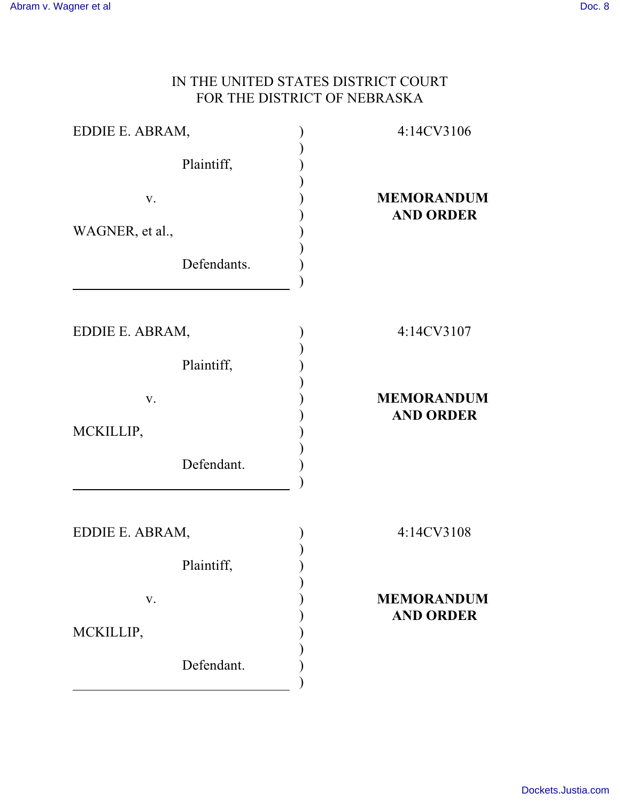## IN THE UNITED STATES DISTRICT COURT FOR THE DISTRICT OF NEBRASKA

| EDDIE E. ABRAM, | 4:14CV3106                            |
|-----------------|---------------------------------------|
| Plaintiff,      |                                       |
| V.              | <b>MEMORANDUM</b><br><b>AND ORDER</b> |
| WAGNER, et al., |                                       |
| Defendants.     |                                       |
|                 |                                       |
| EDDIE E. ABRAM, | 4:14CV3107                            |
| Plaintiff,      |                                       |
| V.              | <b>MEMORANDUM</b>                     |
| MCKILLIP,       | <b>AND ORDER</b>                      |
| Defendant.      |                                       |
|                 |                                       |
| EDDIE E. ABRAM, | 4:14CV3108                            |
| Plaintiff,      |                                       |
| V.              | <b>MEMORANDUM</b>                     |
|                 | <b>AND ORDER</b>                      |
| MCKILLIP,       |                                       |
| Defendant.      |                                       |
|                 |                                       |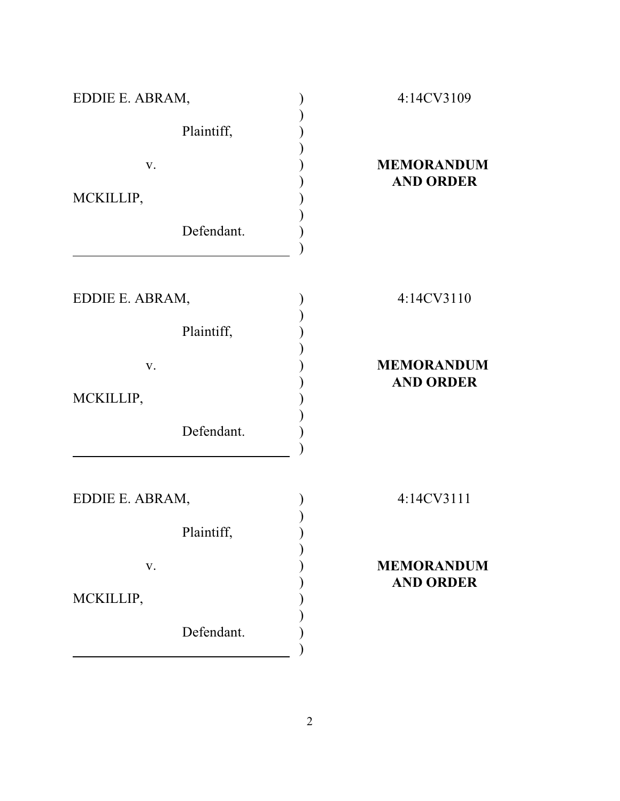| EDDIE E. ABRAM, | 4:14CV3109                            |
|-----------------|---------------------------------------|
| Plaintiff,      |                                       |
| V.              | <b>MEMORANDUM</b><br><b>AND ORDER</b> |
| MCKILLIP,       |                                       |
| Defendant.      |                                       |
|                 |                                       |
| EDDIE E. ABRAM, | 4:14CV3110                            |
| Plaintiff,      |                                       |
| V.              | <b>MEMORANDUM</b>                     |
| MCKILLIP,       | <b>AND ORDER</b>                      |
| Defendant.      |                                       |
| EDDIE E. ABRAM, | 4:14CV3111                            |
| Plaintiff,      |                                       |
| V.              | <b>MEMORANDUM</b>                     |
| MCKILLIP,       | <b>AND ORDER</b>                      |
| Defendant.      |                                       |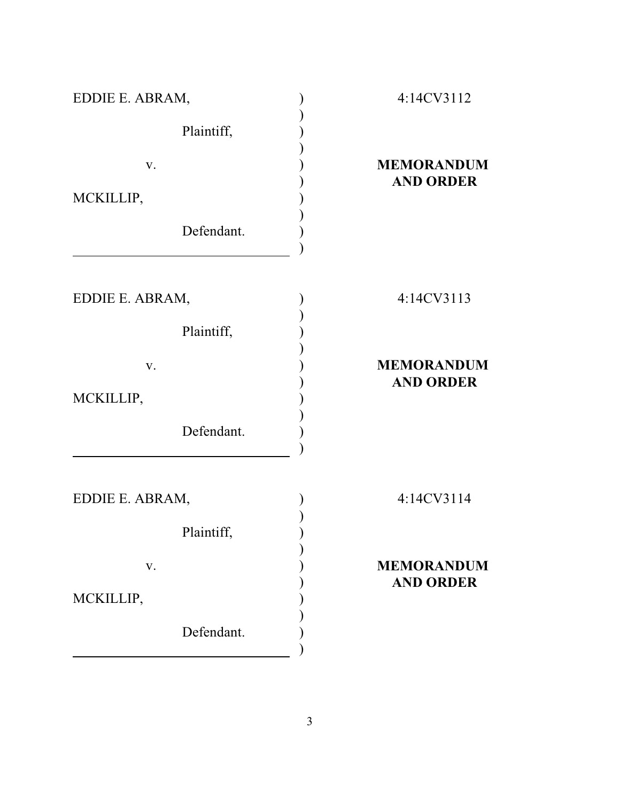| EDDIE E. ABRAM, | 4:14CV3112                            |
|-----------------|---------------------------------------|
| Plaintiff,      |                                       |
| V.<br>MCKILLIP, | <b>MEMORANDUM</b><br><b>AND ORDER</b> |
| Defendant.      |                                       |
| EDDIE E. ABRAM, | 4:14CV3113                            |
| Plaintiff,      |                                       |
| V.<br>MCKILLIP, | <b>MEMORANDUM</b><br><b>AND ORDER</b> |
| Defendant.      |                                       |
| EDDIE E. ABRAM, | 4:14CV3114                            |
| Plaintiff,      |                                       |
| V.<br>MCKILLIP, | <b>MEMORANDUM</b><br><b>AND ORDER</b> |
| Defendant.      |                                       |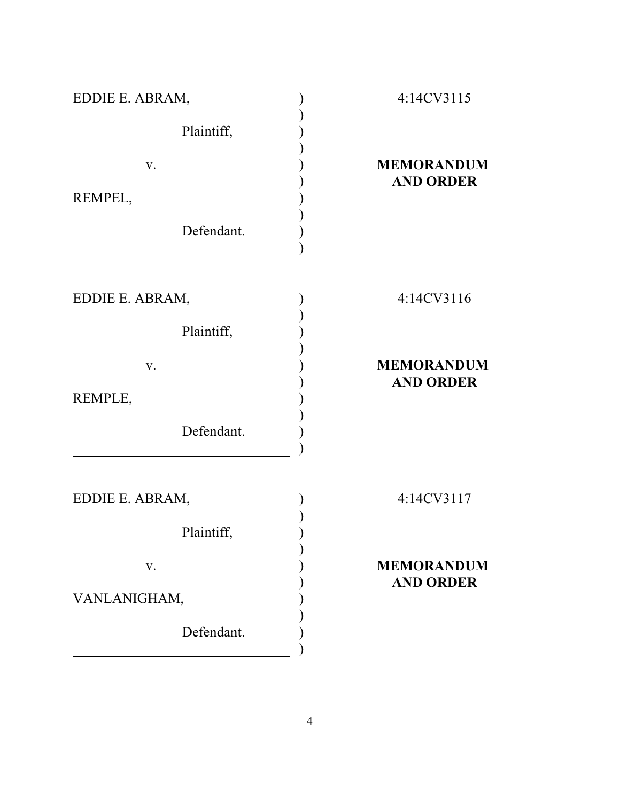| EDDIE E. ABRAM, | 4:14CV3115                            |
|-----------------|---------------------------------------|
| Plaintiff,      |                                       |
| V.              | <b>MEMORANDUM</b><br><b>AND ORDER</b> |
| REMPEL,         |                                       |
| Defendant.      |                                       |
|                 |                                       |
| EDDIE E. ABRAM, | 4:14CV3116                            |
| Plaintiff,      |                                       |
| V.              | <b>MEMORANDUM</b>                     |
| REMPLE,         | <b>AND ORDER</b>                      |
| Defendant.      |                                       |
| EDDIE E. ABRAM, | 4:14CV3117                            |
| Plaintiff,      |                                       |
| V.              | <b>MEMORANDUM</b>                     |
| VANLANIGHAM,    | <b>AND ORDER</b>                      |
| Defendant.      |                                       |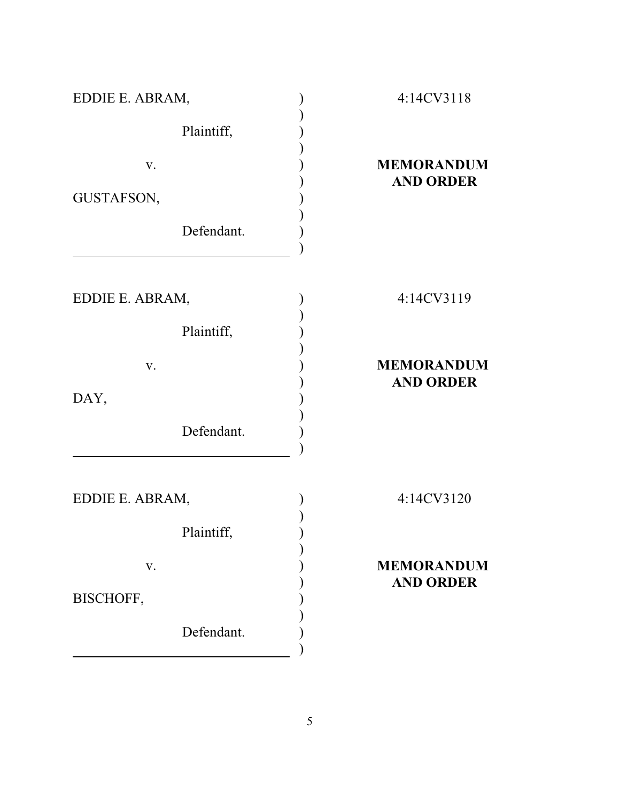| EDDIE E. ABRAM, | 4:14CV3118        |
|-----------------|-------------------|
| Plaintiff,      |                   |
| $\mathbf{V}$ .  | <b>MEMORANDUM</b> |
| GUSTAFSON,      | <b>AND ORDER</b>  |
| Defendant.      |                   |
|                 |                   |
| EDDIE E. ABRAM, | 4:14CV3119        |
| Plaintiff,      |                   |
| V.              | <b>MEMORANDUM</b> |
| DAY,            | <b>AND ORDER</b>  |
| Defendant.      |                   |
|                 |                   |
| EDDIE E. ABRAM, | 4:14CV3120        |
| Plaintiff,      |                   |
| V.              | <b>MEMORANDUM</b> |
| BISCHOFF,       | <b>AND ORDER</b>  |
| Defendant.      |                   |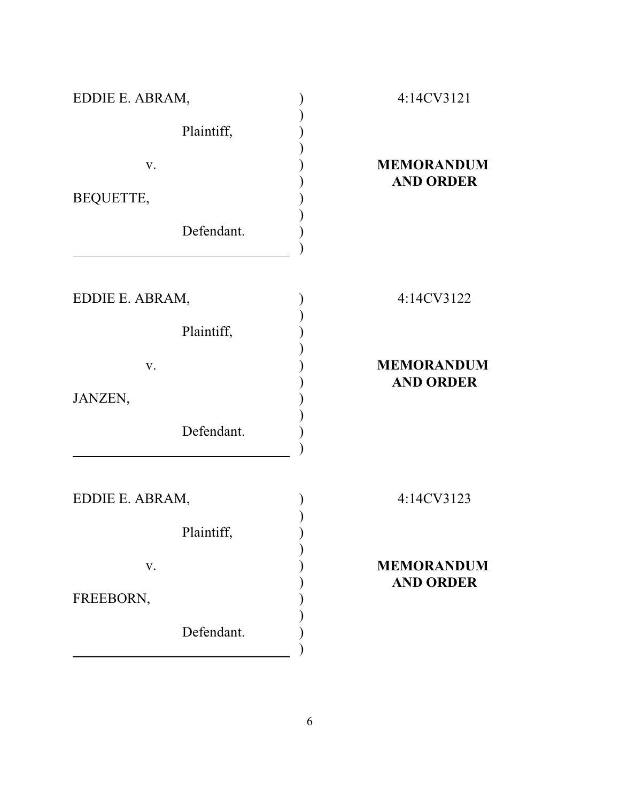| EDDIE E. ABRAM, | 4:14CV3121                            |
|-----------------|---------------------------------------|
| Plaintiff,      |                                       |
| V.              | <b>MEMORANDUM</b><br><b>AND ORDER</b> |
| BEQUETTE,       |                                       |
| Defendant.      |                                       |
|                 |                                       |
| EDDIE E. ABRAM, | 4:14CV3122                            |
| Plaintiff,      |                                       |
| V.              | <b>MEMORANDUM</b>                     |
| JANZEN,         | <b>AND ORDER</b>                      |
| Defendant.      |                                       |
|                 |                                       |
| EDDIE E. ABRAM, | 4:14CV3123                            |
| Plaintiff,      |                                       |
| V.              | <b>MEMORANDUM</b>                     |
| FREEBORN,       | <b>AND ORDER</b>                      |
| Defendant.      |                                       |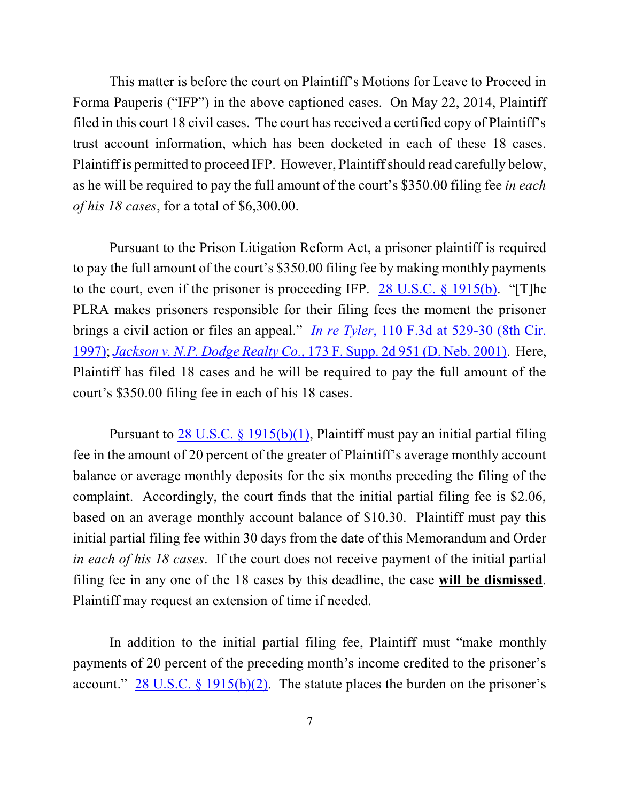This matter is before the court on Plaintiff's Motions for Leave to Proceed in Forma Pauperis ("IFP") in the above captioned cases. On May 22, 2014, Plaintiff filed in this court 18 civil cases. The court has received a certified copy of Plaintiff's trust account information, which has been docketed in each of these 18 cases. Plaintiff is permitted to proceed IFP. However, Plaintiff should read carefully below, as he will be required to pay the full amount of the court's \$350.00 filing fee *in each of his 18 cases*, for a total of \$6,300.00.

Pursuant to the Prison Litigation Reform Act, a prisoner plaintiff is required to pay the full amount of the court's \$350.00 filing fee by making monthly payments to the court, even if the prisoner is proceeding IFP. 28 U.S.C. § [1915\(b\)](http://www.westlaw.com/find/default.wl?rs=CLWP3.0&vr=2.0&cite=28+USCA+s+1915%28b%29). "[T]he PLRA makes prisoners responsible for their filing fees the moment the prisoner brings a civil action or files an appeal." *In [re Tyler](http://www.westlaw.com/find/default.wl?rs=CLWP3.0&vr=2.0&cite=110+F.3d+529)*, 110 F.3d at 529-30 (8th Cir. [1997\)](http://www.westlaw.com/find/default.wl?rs=CLWP3.0&vr=2.0&cite=110+F.3d+529); *Jackson [v. N.P. Dodge Realty Co.](http://www.westlaw.com/find/default.wl?rs=CLWP3.0&vr=2.0&cite=173+F.Supp.2d+951)*, 173 F. Supp. 2d 951 (D. Neb. 2001). Here, Plaintiff has filed 18 cases and he will be required to pay the full amount of the court's \$350.00 filing fee in each of his 18 cases.

Pursuant to  $28$  U.S.C. § 1915(b)(1), Plaintiff must pay an initial partial filing fee in the amount of 20 percent of the greater of Plaintiff's average monthly account balance or average monthly deposits for the six months preceding the filing of the complaint. Accordingly, the court finds that the initial partial filing fee is \$2.06, based on an average monthly account balance of \$10.30. Plaintiff must pay this initial partial filing fee within 30 days from the date of this Memorandum and Order *in each of his 18 cases*. If the court does not receive payment of the initial partial filing fee in any one of the 18 cases by this deadline, the case **will be dismissed**. Plaintiff may request an extension of time if needed.

In addition to the initial partial filing fee, Plaintiff must "make monthly payments of 20 percent of the preceding month's income credited to the prisoner's account." 28 U.S.C.  $\S$  [1915\(b\)\(2\)](http://www.westlaw.com/find/default.wl?rs=CLWP3.0&vr=2.0&cite=28+USCA+s+1915%28b%29%282%29). The statute places the burden on the prisoner's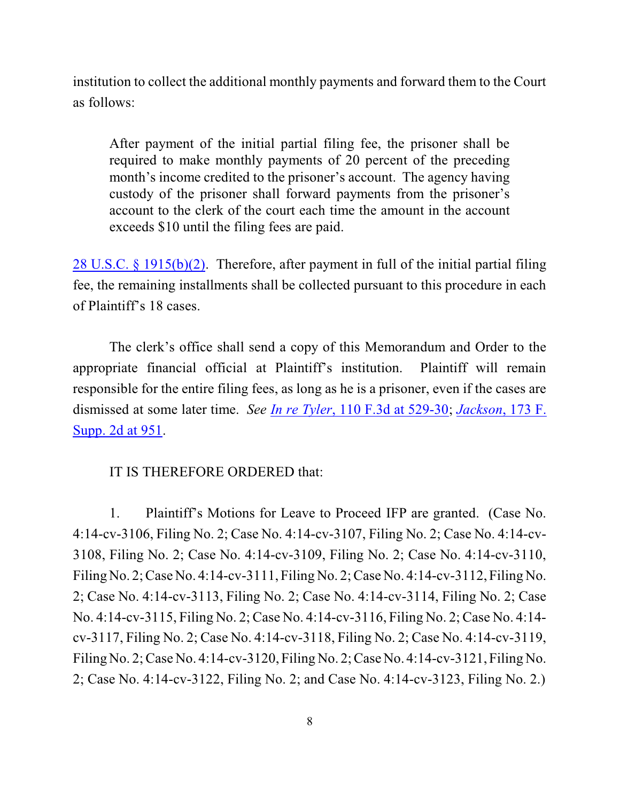institution to collect the additional monthly payments and forward them to the Court as follows:

After payment of the initial partial filing fee, the prisoner shall be required to make monthly payments of 20 percent of the preceding month's income credited to the prisoner's account. The agency having custody of the prisoner shall forward payments from the prisoner's account to the clerk of the court each time the amount in the account exceeds \$10 until the filing fees are paid.

28 U.S.C. § [1915\(b\)\(2\)](http://www.westlaw.com/find/default.wl?rs=CLWP3.0&vr=2.0&cite=28+USCA+s+1915%28b%29%282%29). Therefore, after payment in full of the initial partial filing fee, the remaining installments shall be collected pursuant to this procedure in each of Plaintiff's 18 cases.

The clerk's office shall send a copy of this Memorandum and Order to the appropriate financial official at Plaintiff's institution. Plaintiff will remain responsible for the entire filing fees, as long as he is a prisoner, even if the cases are dismissed at some later time. *See In [re Tyler](http://www.westlaw.com/find/default.wl?rs=CLWP3.0&vr=2.0&cite=110+F.3d+529)*, 110 F.3d at 529-30; *[Jackson](http://www.westlaw.com/find/default.wl?rs=CLWP3.0&vr=2.0&cite=173+F.Supp.2d+951)*, 173 F. [Supp. 2d at 951](http://www.westlaw.com/find/default.wl?rs=CLWP3.0&vr=2.0&cite=173+F.Supp.2d+951).

IT IS THEREFORE ORDERED that:

1. Plaintiff's Motions for Leave to Proceed IFP are granted. (Case No. 4:14-cv-3106, Filing No. 2; Case No. 4:14-cv-3107, Filing No. 2; Case No. 4:14-cv-3108, Filing No. 2; Case No. 4:14-cv-3109, Filing No. 2; Case No. 4:14-cv-3110, Filing No. 2;Case No. 4:14-cv-3111, Filing No. 2;Case No. 4:14-cv-3112, Filing No. 2; Case No. 4:14-cv-3113, Filing No. 2; Case No. 4:14-cv-3114, Filing No. 2; Case No. 4:14-cv-3115, Filing No. 2; Case No. 4:14-cv-3116, Filing No. 2; Case No. 4:14 cv-3117, Filing No. 2; Case No. 4:14-cv-3118, Filing No. 2; Case No. 4:14-cv-3119, Filing No. 2;Case No. 4:14-cv-3120, Filing No. 2;Case No. 4:14-cv-3121, Filing No. 2; Case No. 4:14-cv-3122, Filing No. 2; and Case No. 4:14-cv-3123, Filing No. 2.)